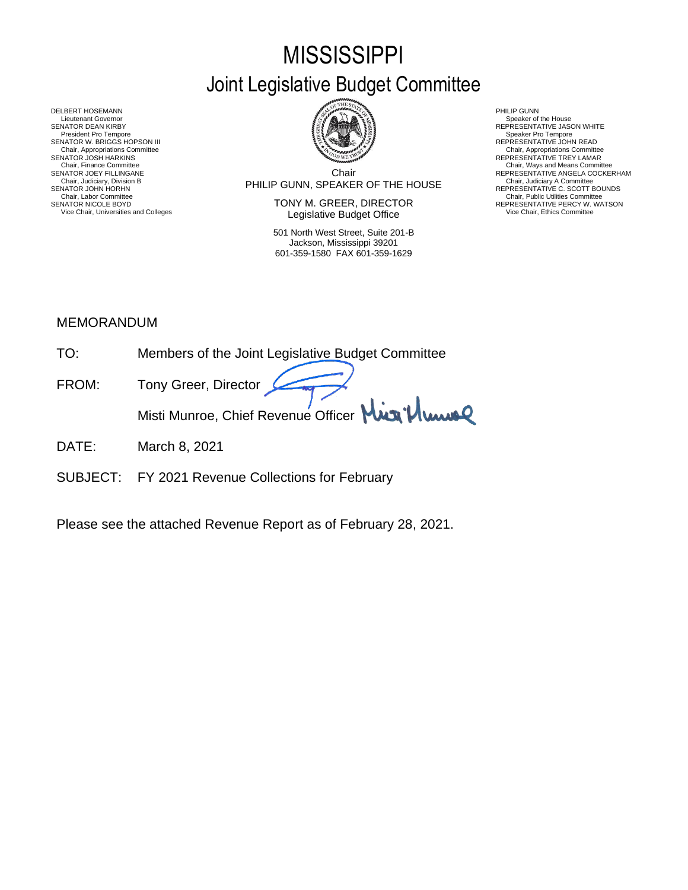# **MISSISSIPPI** Joint Legislative Budget Committee



DELBERT HOSEMANN PHILIP GUNN<br>Lieutenant Governor Speaker of Speaker of Speaker of Speaker of Speaker of Speaker of Speaker of Speaker of Sp Lieutenant Governor Speaker of the House (Seaker of the House Speaker of the House Speaker of the House Speaker of the House Speaker of the House Speaker of the House Speaker of the House Speaker of the House Speaker of th SENATOR DEAN KIRBY GERATOR DEAN KIRBY AND REPRESENTATIVE JASON WHITE<br>President Pro Tempore Speaker Pro Tempore Speaker Pro Tempore SENATOR W. BRIGGS HOPSON III READ AND READ AND REPRESENTATIVE JOHN READ Chair, Appropriations Committee<br>SENATOR JOSH HARKINS<br>Chair, Finance Committee Chair, Finance Committee Chair, Ways and Means Committee Chair, Ways and Means Committee Chair, Ways and Means Committee Chair Chair Chair Chair Chair Chair Chair Chair Chair Chair Chair Chair Chair Chair Chair Chair Chair SENATOR JOHN HORHN COMMENTATIVE C. SCOTT BOUNDS<br>Chair, Labor Committee Chair, Public Utilities Committee Committee Committee Committee Committee Committee Committee

Chair PHILIP GUNN, SPEAKER OF THE HOUSE Chair, Judiciary, Division B Chair, Judiciary A Committee SENATOR JOEY FILLINGANE SERES ANGELA COCKERHAM THE CHILING CHAIR COLLECTION CHAIR COLLECTION CONTINUE ANGELA COCKERHAM CHAIR, JUDICAL ANGELA COCKERHAM CHAIR, JUDICAL ANGELA COCKERHAM CHAIR, JUDICAL ANGELA COLLECTION COMMET

SENATOR NICOLE BOYD **SENATOR IN TONY M. GREER, DIRECTOR** REPRESENTATIVE PERCY W. WATSON Vice Chair, Universities and Colleges **Network Constructed Constructed Constructer** Vice Chair, Ethics Committee

> 501 North West Street, Suite 201-B Jackson, Mississippi 39201 601-359-1580 FAX 601-359-1629

- 
- 
- Chair, Appropriations Committee<br>REPRESENTATIVE TREY LAMAR
- 
- 

# MEMORANDUM

- TO: Members of the Joint Legislative Budget Committee
- FROM: Tony Greer, Director Misti Munroe, Chief Revenue Officer Mun<sup>1</sup>/ Www
- DATE: March 8, 2021
- SUBJECT: FY 2021 Revenue Collections for February

Please see the attached Revenue Report as of February 28, 2021.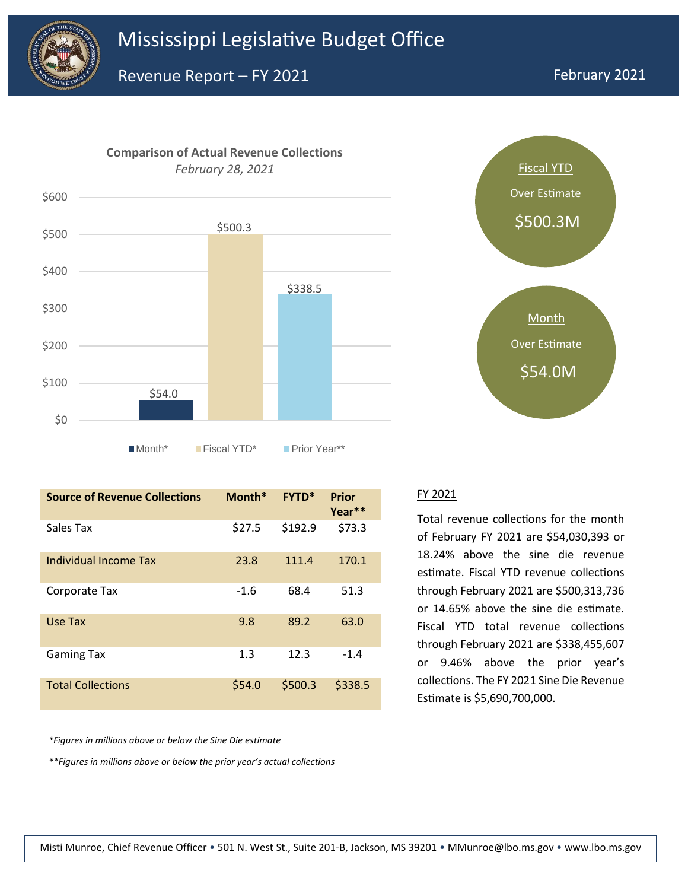





| <b>Source of Revenue Collections</b> | Month* | <b>FYTD*</b> | <b>Prior</b><br>Year** |
|--------------------------------------|--------|--------------|------------------------|
| Sales Tax                            | \$27.5 | \$192.9      | \$73.3                 |
| Individual Income Tax                | 23.8   | 111.4        | 170.1                  |
| Corporate Tax                        | $-1.6$ | 68.4         | 51.3                   |
| Use Tax                              | 9.8    | 89.2         | 63.0                   |
| <b>Gaming Tax</b>                    | 1.3    | 12.3         | $-1.4$                 |
| <b>Total Collections</b>             | \$54.0 | \$500.3      | \$338.5                |

*\*Figures in millions above or below the Sine Die estimate*

*\*\*Figures in millions above or below the prior year's actual collections*

#### FY 2021

Total revenue collections for the month of February FY 2021 are \$54,030,393 or 18.24% above the sine die revenue estimate. Fiscal YTD revenue collections through February 2021 are \$500,313,736 or 14.65% above the sine die estimate. Fiscal YTD total revenue collections through February 2021 are \$338,455,607 or 9.46% above the prior year's collections. The FY 2021 Sine Die Revenue Estimate is \$5,690,700,000.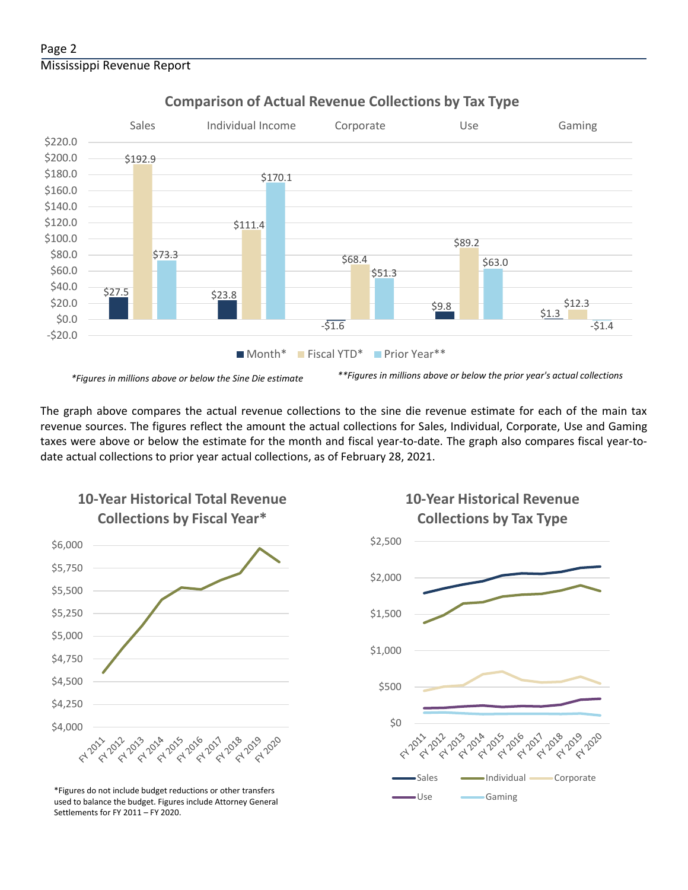

# **Comparison of Actual Revenue Collections by Tax Type**

The graph above compares the actual revenue collections to the sine die revenue estimate for each of the main tax revenue sources. The figures reflect the amount the actual collections for Sales, Individual, Corporate, Use and Gaming taxes were above or below the estimate for the month and fiscal year-to-date. The graph also compares fiscal year-todate actual collections to prior year actual collections, as of February 28, 2021.



**10-Year Historical Total Revenue** 

Use Gaming \*Figures do not include budget reductions or other transfers used to balance the budget. Figures include Attorney General Settlements for FY 2011 – FY 2020.

# **10-Year Historical Revenue Collections by Tax Type**

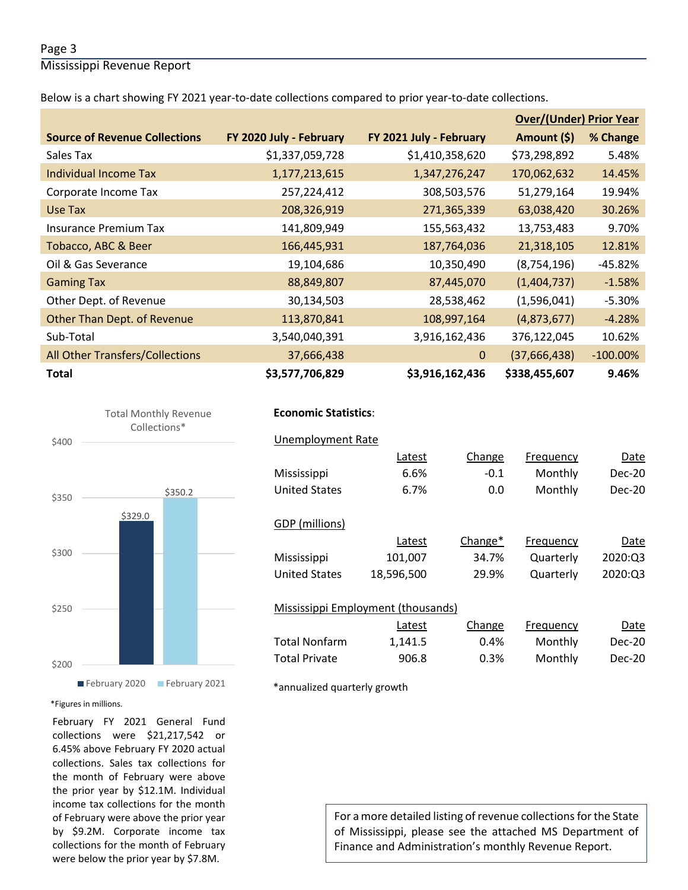## Page 3

Mississippi Revenue Report

Below is a chart showing FY 2021 year-to-date collections compared to prior year-to-date collections.

|                                      |                         |                         | <b>Over/(Under) Prior Year</b> |             |  |
|--------------------------------------|-------------------------|-------------------------|--------------------------------|-------------|--|
| <b>Source of Revenue Collections</b> | FY 2020 July - February | FY 2021 July - February | Amount (\$)                    | % Change    |  |
| Sales Tax                            | \$1,337,059,728         | \$1,410,358,620         | \$73,298,892                   | 5.48%       |  |
| Individual Income Tax                | 1,177,213,615           | 1,347,276,247           | 170,062,632                    | 14.45%      |  |
| Corporate Income Tax                 | 257,224,412             | 308,503,576             | 51,279,164                     | 19.94%      |  |
| Use Tax                              | 208,326,919             | 271,365,339             | 63,038,420                     | 30.26%      |  |
| <b>Insurance Premium Tax</b>         | 141,809,949             | 155,563,432             | 13,753,483                     | 9.70%       |  |
| Tobacco, ABC & Beer                  | 166,445,931             | 187,764,036             | 21,318,105                     | 12.81%      |  |
| Oil & Gas Severance                  | 19,104,686              | 10,350,490              | (8,754,196)                    | $-45.82%$   |  |
| <b>Gaming Tax</b>                    | 88,849,807              | 87,445,070              | (1,404,737)                    | $-1.58%$    |  |
| Other Dept. of Revenue               | 30,134,503              | 28,538,462              | (1,596,041)                    | $-5.30%$    |  |
| <b>Other Than Dept. of Revenue</b>   | 113,870,841             | 108,997,164             | (4,873,677)                    | $-4.28%$    |  |
| Sub-Total                            | 3,540,040,391           | 3,916,162,436           | 376,122,045                    | 10.62%      |  |
| All Other Transfers/Collections      | 37,666,438              | $\mathbf{0}$            | (37,666,438)                   | $-100.00\%$ |  |
| <b>Total</b>                         | \$3,577,706,829         | \$3,916,162,436         | \$338,455,607                  | 9.46%       |  |





# **Economic Statistics**:  **Economic Statistics**:

|                      | <b>Unemployment Rate</b> |                                    |         |                  |          |
|----------------------|--------------------------|------------------------------------|---------|------------------|----------|
|                      |                          | Latest                             | Change  | Frequency        | Date     |
| Mississippi          |                          | 6.6%                               | $-0.1$  | Monthly          | Dec-20   |
| United States        |                          | 6.7%                               | 0.0     | Monthly          | Dec-20   |
|                      |                          |                                    |         |                  |          |
| GDP (millions)       |                          |                                    |         |                  |          |
|                      |                          | Latest                             | Change* | Frequency        | Date     |
| Mississippi          |                          | 101,007                            | 34.7%   | Quarterly        | 2020:03  |
| <b>United States</b> |                          | 18,596,500                         | 29.9%   | Quarterly        | 2020:03  |
|                      |                          |                                    |         |                  |          |
|                      |                          | Mississippi Employment (thousands) |         |                  |          |
|                      |                          | Latest                             | Change  | <b>Frequency</b> | Date     |
| <b>Total Nonfarm</b> |                          | 1,141.5                            | 0.4%    | Monthly          | $Dec-20$ |
| <b>Total Private</b> |                          | 906.8                              | 0.3%    | Monthly          | Dec-20   |
|                      |                          |                                    |         |                  |          |

\*annualized quarterly growth

#### \*Figures in millions.

February FY 2021 General Fund collections were \$21,217,542 or 6.45% above February FY 2020 actual collections. Sales tax collections for the month of February were above the prior year by \$12.1M. Individual income tax collections for the month of February were above the prior year by \$9.2M. Corporate income tax collections for the month of February were below the prior year by \$7.8M.

For a more detailed listing of revenue collections for the State of Mississippi, please see the attached MS Department of Finance and Administration's monthly Revenue Report.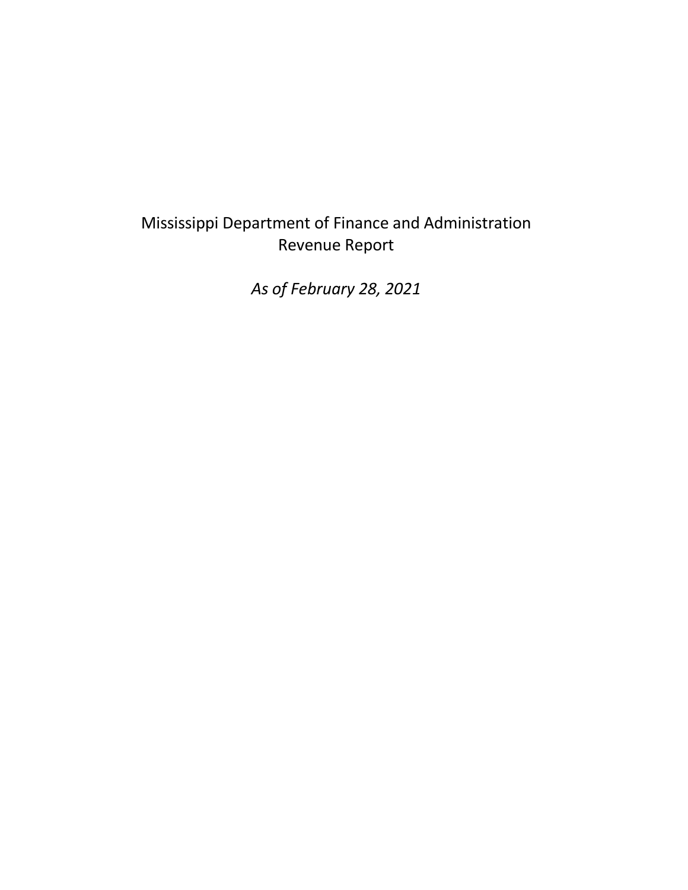# Mississippi Department of Finance and Administration Revenue Report

*As of February 28, 2021*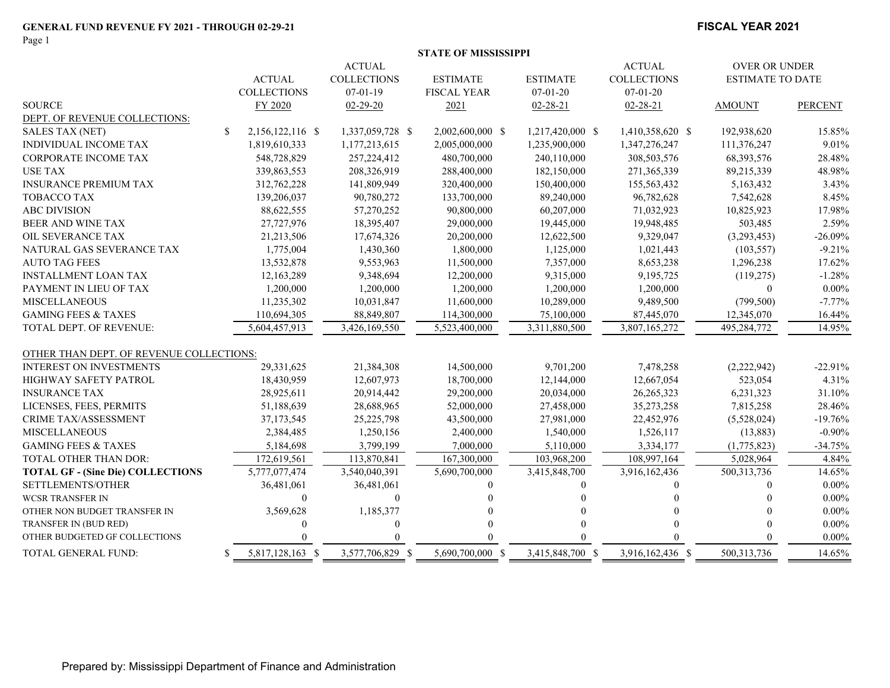Page 1

### **FISCAL YEAR 2021**

|  |  |  | STATE OF MISSISSIPPI |
|--|--|--|----------------------|
|--|--|--|----------------------|

|                                          |                        | <b>ACTUAL</b>      |                    |                  | <b>ACTUAL</b>      | <b>OVER OR UNDER</b>    |                |
|------------------------------------------|------------------------|--------------------|--------------------|------------------|--------------------|-------------------------|----------------|
|                                          | <b>ACTUAL</b>          | <b>COLLECTIONS</b> | <b>ESTIMATE</b>    | <b>ESTIMATE</b>  | <b>COLLECTIONS</b> | <b>ESTIMATE TO DATE</b> |                |
|                                          | <b>COLLECTIONS</b>     | $07 - 01 - 19$     | <b>FISCAL YEAR</b> | $07 - 01 - 20$   | $07 - 01 - 20$     |                         |                |
| <b>SOURCE</b>                            | FY 2020                | $02 - 29 - 20$     | 2021               | $02 - 28 - 21$   | $02 - 28 - 21$     | <b>AMOUNT</b>           | <b>PERCENT</b> |
| DEPT. OF REVENUE COLLECTIONS:            |                        |                    |                    |                  |                    |                         |                |
| <b>SALES TAX (NET)</b>                   | \$<br>2,156,122,116 \$ | 1,337,059,728 \$   | 2,002,600,000 \$   | 1,217,420,000 \$ | 1,410,358,620 \$   | 192,938,620             | 15.85%         |
| <b>INDIVIDUAL INCOME TAX</b>             | 1,819,610,333          | 1,177,213,615      | 2,005,000,000      | 1,235,900,000    | 1,347,276,247      | 111,376,247             | 9.01%          |
| <b>CORPORATE INCOME TAX</b>              | 548,728,829            | 257, 224, 412      | 480,700,000        | 240,110,000      | 308,503,576        | 68,393,576              | 28.48%         |
| <b>USE TAX</b>                           | 339,863,553            | 208,326,919        | 288,400,000        | 182,150,000      | 271,365,339        | 89,215,339              | 48.98%         |
| <b>INSURANCE PREMIUM TAX</b>             | 312,762,228            | 141,809,949        | 320,400,000        | 150,400,000      | 155,563,432        | 5,163,432               | 3.43%          |
| <b>TOBACCO TAX</b>                       | 139,206,037            | 90,780,272         | 133,700,000        | 89,240,000       | 96,782,628         | 7,542,628               | 8.45%          |
| <b>ABC DIVISION</b>                      | 88,622,555             | 57,270,252         | 90,800,000         | 60,207,000       | 71,032,923         | 10,825,923              | 17.98%         |
| BEER AND WINE TAX                        | 27,727,976             | 18,395,407         | 29,000,000         | 19,445,000       | 19,948,485         | 503,485                 | 2.59%          |
| OIL SEVERANCE TAX                        | 21,213,506             | 17,674,326         | 20,200,000         | 12,622,500       | 9,329,047          | (3,293,453)             | $-26.09%$      |
| NATURAL GAS SEVERANCE TAX                | 1,775,004              | 1,430,360          | 1,800,000          | 1,125,000        | 1,021,443          | (103, 557)              | $-9.21%$       |
| <b>AUTO TAG FEES</b>                     | 13,532,878             | 9,553,963          | 11,500,000         | 7,357,000        | 8,653,238          | 1,296,238               | 17.62%         |
| <b>INSTALLMENT LOAN TAX</b>              | 12,163,289             | 9,348,694          | 12,200,000         | 9,315,000        | 9,195,725          | (119,275)               | $-1.28%$       |
| PAYMENT IN LIEU OF TAX                   | 1,200,000              | 1,200,000          | 1,200,000          | 1,200,000        | 1,200,000          | $\overline{0}$          | $0.00\%$       |
| <b>MISCELLANEOUS</b>                     | 11,235,302             | 10,031,847         | 11,600,000         | 10,289,000       | 9,489,500          | (799, 500)              | $-7.77%$       |
| <b>GAMING FEES &amp; TAXES</b>           | 110,694,305            | 88,849,807         | 114,300,000        | 75,100,000       | 87,445,070         | 12,345,070              | 16.44%         |
| TOTAL DEPT. OF REVENUE:                  | 5,604,457,913          | 3,426,169,550      | 5,523,400,000      | 3,311,880,500    | 3,807,165,272      | 495,284,772             | 14.95%         |
| OTHER THAN DEPT. OF REVENUE COLLECTIONS: |                        |                    |                    |                  |                    |                         |                |
| <b>INTEREST ON INVESTMENTS</b>           | 29,331,625             | 21,384,308         | 14,500,000         | 9,701,200        | 7,478,258          | (2,222,942)             | $-22.91%$      |
| HIGHWAY SAFETY PATROL                    | 18,430,959             | 12,607,973         | 18,700,000         | 12,144,000       | 12,667,054         | 523,054                 | 4.31%          |
| <b>INSURANCE TAX</b>                     | 28,925,611             | 20,914,442         | 29,200,000         | 20,034,000       | 26, 265, 323       | 6,231,323               | 31.10%         |
| LICENSES, FEES, PERMITS                  | 51,188,639             | 28,688,965         | 52,000,000         | 27,458,000       | 35,273,258         | 7,815,258               | 28.46%         |
| <b>CRIME TAX/ASSESSMENT</b>              | 37, 173, 545           | 25,225,798         | 43,500,000         | 27,981,000       | 22,452,976         | (5,528,024)             | $-19.76%$      |
| <b>MISCELLANEOUS</b>                     | 2,384,485              | 1,250,156          | 2,400,000          | 1,540,000        | 1,526,117          | (13, 883)               | $-0.90%$       |
| <b>GAMING FEES &amp; TAXES</b>           | 5,184,698              | 3,799,199          | 7,000,000          | 5,110,000        | 3,334,177          | (1,775,823)             | $-34.75%$      |
| TOTAL OTHER THAN DOR:                    | 172,619,561            | 113,870,841        | 167,300,000        | 103,968,200      | 108,997,164        | 5,028,964               | 4.84%          |
| <b>TOTAL GF - (Sine Die) COLLECTIONS</b> | 5,777,077,474          | 3,540,040,391      | 5,690,700,000      | 3,415,848,700    | 3,916,162,436      | 500, 313, 736           | 14.65%         |
| SETTLEMENTS/OTHER                        | 36,481,061             | 36,481,061         | 0                  | 0                | 0                  |                         | $0.00\%$       |
| <b>WCSR TRANSFER IN</b>                  | $\theta$               | $\Omega$           |                    |                  |                    |                         | $0.00\%$       |
| OTHER NON BUDGET TRANSFER IN             | 3,569,628              | 1,185,377          |                    |                  |                    |                         | $0.00\%$       |
| TRANSFER IN (BUD RED)                    | $\Omega$               | $\Omega$           |                    |                  |                    |                         | $0.00\%$       |
| OTHER BUDGETED GF COLLECTIONS            |                        |                    |                    |                  |                    |                         | $0.00\%$       |
| TOTAL GENERAL FUND:                      | 5,817,128,163 \$<br>S  | 3,577,706,829 \$   | 5,690,700,000 \$   | 3,415,848,700 \$ | 3,916,162,436 \$   | 500, 313, 736           | 14.65%         |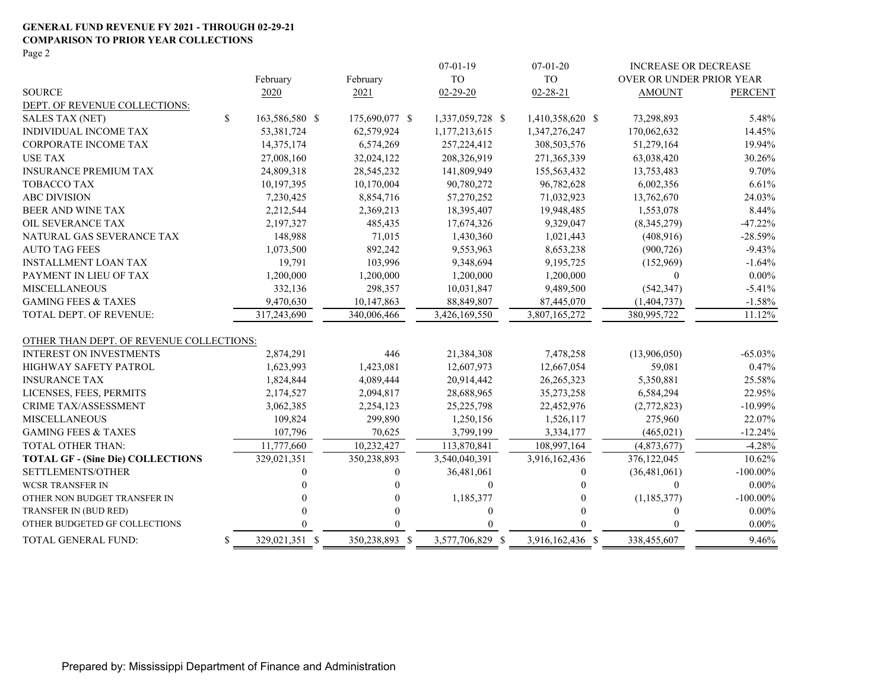#### **GENERAL FUND REVENUE FY 2021 - THROUGH 02-29-21 COMPARISON TO PRIOR YEAR COLLECTIONS** Page 2

|                                          |              |                |                | $07 - 01 - 19$   | $07 - 01 - 20$   | <b>INCREASE OR DECREASE</b> |                |
|------------------------------------------|--------------|----------------|----------------|------------------|------------------|-----------------------------|----------------|
|                                          |              | February       | February       | <b>TO</b>        | T <sub>O</sub>   | OVER OR UNDER PRIOR YEAR    |                |
| <b>SOURCE</b>                            |              | 2020           | 2021           | $02 - 29 - 20$   | $02 - 28 - 21$   | <b>AMOUNT</b>               | <b>PERCENT</b> |
| DEPT. OF REVENUE COLLECTIONS:            |              |                |                |                  |                  |                             |                |
| <b>SALES TAX (NET)</b>                   | $\mathbb{S}$ | 163,586,580 \$ | 175,690,077 \$ | 1,337,059,728 \$ | 1,410,358,620 \$ | 73,298,893                  | 5.48%          |
| INDIVIDUAL INCOME TAX                    |              | 53,381,724     | 62,579,924     | 1,177,213,615    | 1,347,276,247    | 170,062,632                 | 14.45%         |
| <b>CORPORATE INCOME TAX</b>              |              | 14,375,174     | 6,574,269      | 257,224,412      | 308,503,576      | 51,279,164                  | 19.94%         |
| <b>USE TAX</b>                           |              | 27,008,160     | 32,024,122     | 208,326,919      | 271,365,339      | 63,038,420                  | 30.26%         |
| <b>INSURANCE PREMIUM TAX</b>             |              | 24,809,318     | 28,545,232     | 141,809,949      | 155,563,432      | 13,753,483                  | 9.70%          |
| <b>TOBACCO TAX</b>                       |              | 10,197,395     | 10,170,004     | 90,780,272       | 96,782,628       | 6,002,356                   | 6.61%          |
| <b>ABC DIVISION</b>                      |              | 7,230,425      | 8,854,716      | 57,270,252       | 71,032,923       | 13,762,670                  | 24.03%         |
| <b>BEER AND WINE TAX</b>                 |              | 2,212,544      | 2,369,213      | 18,395,407       | 19,948,485       | 1,553,078                   | 8.44%          |
| OIL SEVERANCE TAX                        |              | 2,197,327      | 485,435        | 17,674,326       | 9,329,047        | (8,345,279)                 | $-47.22%$      |
| NATURAL GAS SEVERANCE TAX                |              | 148,988        | 71,015         | 1,430,360        | 1,021,443        | (408,916)                   | $-28.59%$      |
| <b>AUTO TAG FEES</b>                     |              | 1,073,500      | 892,242        | 9,553,963        | 8,653,238        | (900, 726)                  | $-9.43%$       |
| <b>INSTALLMENT LOAN TAX</b>              |              | 19,791         | 103,996        | 9,348,694        | 9,195,725        | (152,969)                   | $-1.64%$       |
| PAYMENT IN LIEU OF TAX                   |              | 1,200,000      | 1,200,000      | 1,200,000        | 1,200,000        | $\Omega$                    | $0.00\%$       |
| <b>MISCELLANEOUS</b>                     |              | 332,136        | 298,357        | 10,031,847       | 9,489,500        | (542, 347)                  | $-5.41%$       |
| <b>GAMING FEES &amp; TAXES</b>           |              | 9,470,630      | 10,147,863     | 88, 849, 807     | 87,445,070       | (1,404,737)                 | $-1.58%$       |
| TOTAL DEPT. OF REVENUE:                  |              | 317,243,690    | 340,006,466    | 3,426,169,550    | 3,807,165,272    | 380,995,722                 | 11.12%         |
| OTHER THAN DEPT. OF REVENUE COLLECTIONS: |              |                |                |                  |                  |                             |                |
| <b>INTEREST ON INVESTMENTS</b>           |              | 2,874,291      | 446            | 21,384,308       | 7,478,258        | (13,906,050)                | $-65.03\%$     |
| HIGHWAY SAFETY PATROL                    |              | 1,623,993      | 1,423,081      | 12,607,973       | 12,667,054       | 59,081                      | 0.47%          |
| <b>INSURANCE TAX</b>                     |              | 1,824,844      | 4,089,444      | 20,914,442       | 26, 265, 323     | 5,350,881                   | 25.58%         |
| LICENSES, FEES, PERMITS                  |              | 2,174,527      | 2,094,817      | 28,688,965       | 35,273,258       | 6,584,294                   | 22.95%         |
| <b>CRIME TAX/ASSESSMENT</b>              |              | 3,062,385      | 2,254,123      | 25, 225, 798     | 22,452,976       | (2,772,823)                 | $-10.99%$      |
| <b>MISCELLANEOUS</b>                     |              | 109,824        | 299,890        | 1,250,156        | 1,526,117        | 275,960                     | 22.07%         |
| <b>GAMING FEES &amp; TAXES</b>           |              | 107,796        | 70,625         | 3,799,199        | 3,334,177        | (465, 021)                  | $-12.24%$      |
| TOTAL OTHER THAN:                        |              | 11,777,660     | 10,232,427     | 113,870,841      | 108,997,164      | (4,873,677)                 | $-4.28%$       |
| <b>TOTAL GF - (Sine Die) COLLECTIONS</b> |              | 329,021,351    | 350,238,893    | 3,540,040,391    | 3,916,162,436    | 376,122,045                 | 10.62%         |
| <b>SETTLEMENTS/OTHER</b>                 |              | 0              | 0              | 36,481,061       | $\theta$         | (36, 481, 061)              | $-100.00\%$    |
| <b>WCSR TRANSFER IN</b>                  |              |                | 0              | $\mathbf{0}$     |                  | $\Omega$                    | $0.00\%$       |
| OTHER NON BUDGET TRANSFER IN             |              |                | 0              | 1,185,377        |                  | (1, 185, 377)               | $-100.00\%$    |
| TRANSFER IN (BUD RED)                    |              |                | 0              | $\boldsymbol{0}$ | 0                | $\Omega$                    | $0.00\%$       |
| OTHER BUDGETED GF COLLECTIONS            |              |                | 0              | $\theta$         |                  | $\Omega$                    | $0.00\%$       |
| TOTAL GENERAL FUND:                      | S.           | 329,021,351 \$ | 350,238,893 \$ | 3,577,706,829 \$ | 3,916,162,436 \$ | 338,455,607                 | 9.46%          |